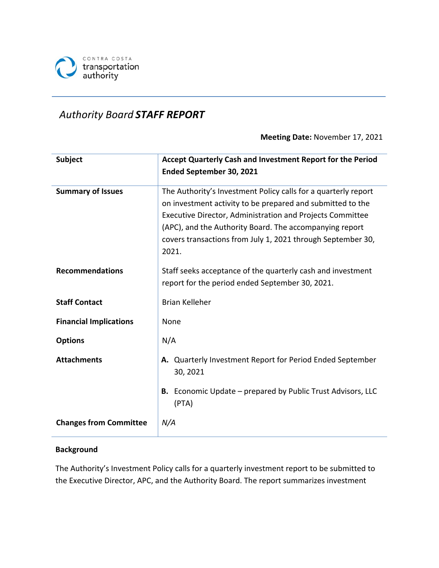

# *Authority Board STAFF REPORT*

#### **Meeting Date:** November 17, 2021

| <b>Subject</b>                | Accept Quarterly Cash and Investment Report for the Period<br>Ended September 30, 2021                                                                                                                                                                                                                                       |  |  |
|-------------------------------|------------------------------------------------------------------------------------------------------------------------------------------------------------------------------------------------------------------------------------------------------------------------------------------------------------------------------|--|--|
| <b>Summary of Issues</b>      | The Authority's Investment Policy calls for a quarterly report<br>on investment activity to be prepared and submitted to the<br>Executive Director, Administration and Projects Committee<br>(APC), and the Authority Board. The accompanying report<br>covers transactions from July 1, 2021 through September 30,<br>2021. |  |  |
| <b>Recommendations</b>        | Staff seeks acceptance of the quarterly cash and investment<br>report for the period ended September 30, 2021.                                                                                                                                                                                                               |  |  |
| <b>Staff Contact</b>          | <b>Brian Kelleher</b>                                                                                                                                                                                                                                                                                                        |  |  |
| <b>Financial Implications</b> | None                                                                                                                                                                                                                                                                                                                         |  |  |
| <b>Options</b>                | N/A                                                                                                                                                                                                                                                                                                                          |  |  |
| <b>Attachments</b>            | A. Quarterly Investment Report for Period Ended September<br>30, 2021                                                                                                                                                                                                                                                        |  |  |
|                               | <b>B.</b> Economic Update – prepared by Public Trust Advisors, LLC<br>(PTA)                                                                                                                                                                                                                                                  |  |  |
| <b>Changes from Committee</b> | N/A                                                                                                                                                                                                                                                                                                                          |  |  |

# **Background**

The Authority's Investment Policy calls for a quarterly investment report to be submitted to the Executive Director, APC, and the Authority Board. The report summarizes investment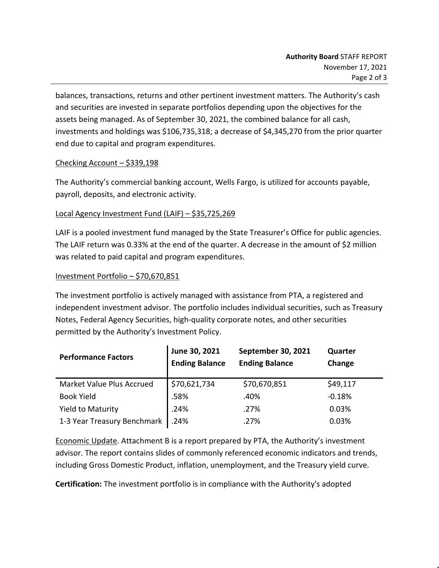balances, transactions, returns and other pertinent investment matters. The Authority's cash and securities are invested in separate portfolios depending upon the objectives for the assets being managed. As of September 30, 2021, the combined balance for all cash, investments and holdings was \$106,735,318; a decrease of \$4,345,270 from the prior quarter end due to capital and program expenditures.

# Checking Account – \$339,198

The Authority's commercial banking account, Wells Fargo, is utilized for accounts payable, payroll, deposits, and electronic activity.

### Local Agency Investment Fund (LAIF) – \$35,725,269

LAIF is a pooled investment fund managed by the State Treasurer's Office for public agencies. The LAIF return was 0.33% at the end of the quarter. A decrease in the amount of \$2 million was related to paid capital and program expenditures.

### Investment Portfolio – \$70,670,851

The investment portfolio is actively managed with assistance from PTA, a registered and independent investment advisor. The portfolio includes individual securities, such as Treasury Notes, Federal Agency Securities, high-quality corporate notes, and other securities permitted by the Authority's Investment Policy.

| <b>Performance Factors</b>  | June 30, 2021<br><b>Ending Balance</b> | <b>September 30, 2021</b><br><b>Ending Balance</b> | Quarter<br>Change |
|-----------------------------|----------------------------------------|----------------------------------------------------|-------------------|
| Market Value Plus Accrued   | \$70,621,734                           | \$70,670,851                                       | \$49,117          |
| <b>Book Yield</b>           | .58%                                   | .40%                                               | $-0.18%$          |
| <b>Yield to Maturity</b>    | .24%                                   | .27%                                               | 0.03%             |
| 1-3 Year Treasury Benchmark | .24%                                   | .27%                                               | 0.03%             |

Economic Update. Attachment B is a report prepared by PTA, the Authority's investment advisor. The report contains slides of commonly referenced economic indicators and trends, including Gross Domestic Product, inflation, unemployment, and the Treasury yield curve.

**Certification:** The investment portfolio is in compliance with the Authority's adopted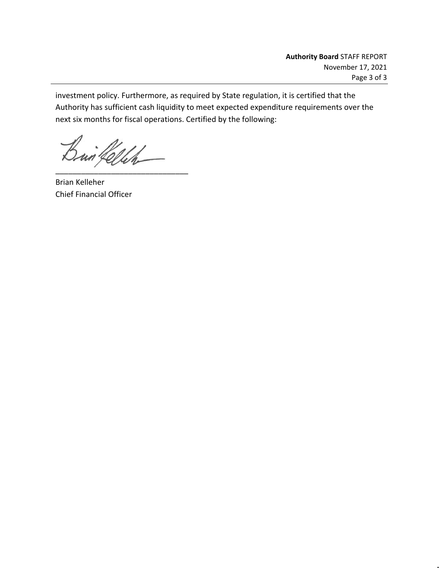investment policy. Furthermore, as required by State regulation, it is certified that the Authority has sufficient cash liquidity to meet expected expenditure requirements over the next six months for fiscal operations. Certified by the following:

 $\beta$ un fellen

Brian Kelleher Chief Financial Officer